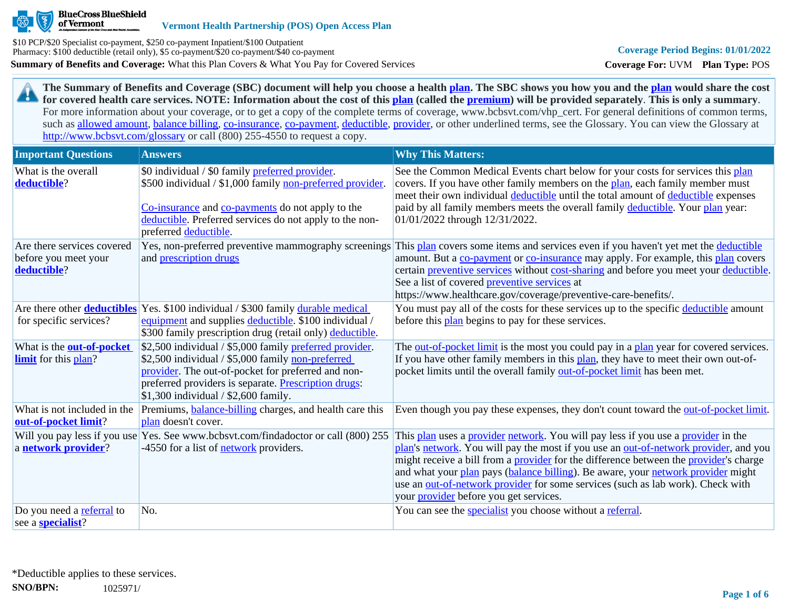

**The Summary of Benefits and Coverage (SBC) document will help you choose a health [plan](https://www.healthcare.gov/sbc-glossary/#plan). The SBC shows you how you and the [plan](https://www.healthcare.gov/sbc-glossary/#plan) would share the cost**  29 **for covered health care services. NOTE: Information about the cost of this [plan](https://www.healthcare.gov/sbc-glossary/#plan) (called the [premium](https://www.healthcare.gov/sbc-glossary/#premium)) will be provided separately**. **This is only a summary**. For more information about your coverage, or to get a copy of the complete terms of coverage, www.bcbsvt.com/vhp\_cert. For general definitions of common terms, such as [allowed amount](https://www.healthcare.gov/sbc-glossary/#allowed-amount), [balance billing,](https://www.healthcare.gov/sbc-glossary/#balance-billing) [co-insurance,](https://www.healthcare.gov/sbc-glossary/#coinsurance) [co-payment,](https://www.healthcare.gov/sbc-glossary/#copayment) [deductible](https://www.healthcare.gov/sbc-glossary/#deductible), [provider](https://www.healthcare.gov/sbc-glossary/#provider), or other underlined terms, see the Glossary. You can view the Glossary at <http://www.bcbsvt.com/glossary>or call (800) 255-4550 to request a copy.

| <b>Important Questions</b>                                        | <b>Answers</b>                                                                                                                                                                                                                                                      | <b>Why This Matters:</b>                                                                                                                                                                                                                                                                                                                                                                                                                                                                                  |
|-------------------------------------------------------------------|---------------------------------------------------------------------------------------------------------------------------------------------------------------------------------------------------------------------------------------------------------------------|-----------------------------------------------------------------------------------------------------------------------------------------------------------------------------------------------------------------------------------------------------------------------------------------------------------------------------------------------------------------------------------------------------------------------------------------------------------------------------------------------------------|
| What is the overall<br>deductible?                                | \$0 individual / \$0 family preferred provider.<br>\$500 individual / \$1,000 family non-preferred provider.<br>Co-insurance and co-payments do not apply to the<br>deductible. Preferred services do not apply to the non-<br>preferred deductible.                | See the Common Medical Events chart below for your costs for services this plan<br>covers. If you have other family members on the plan, each family member must<br>meet their own individual deductible until the total amount of deductible expenses<br>paid by all family members meets the overall family deductible. Your plan year:<br>01/01/2022 through 12/31/2022.                                                                                                                               |
| Are there services covered<br>before you meet your<br>deductible? | and prescription drugs                                                                                                                                                                                                                                              | Yes, non-preferred preventive mammography screenings This plan covers some items and services even if you haven't yet met the deductible<br>amount. But a co-payment or co-insurance may apply. For example, this plan covers<br>certain preventive services without cost-sharing and before you meet your deductible.<br>See a list of covered preventive services at<br>https://www.healthcare.gov/coverage/preventive-care-benefits/.                                                                  |
| for specific services?                                            | Are there other <b>deductibles</b> Yes. \$100 individual / \$300 family durable medical<br>equipment and supplies deductible. \$100 individual /<br>\$300 family prescription drug (retail only) deductible.                                                        | You must pay all of the costs for these services up to the specific deductible amount<br>before this <b>plan</b> begins to pay for these services.                                                                                                                                                                                                                                                                                                                                                        |
| What is the <b>out-of-pocket</b><br><b>limit</b> for this plan?   | \$2,500 individual / \$5,000 family preferred provider.<br>\$2,500 individual / \$5,000 family non-preferred<br>provider. The out-of-pocket for preferred and non-<br>preferred providers is separate. Prescription drugs:<br>$$1,300$ individual / \$2,600 family. | The out-of-pocket limit is the most you could pay in a plan year for covered services.<br>If you have other family members in this plan, they have to meet their own out-of-<br>pocket limits until the overall family out-of-pocket limit has been met.                                                                                                                                                                                                                                                  |
| What is not included in the<br>out-of-pocket limit?               | Premiums, <b>balance-billing</b> charges, and health care this<br>plan doesn't cover.                                                                                                                                                                               | Even though you pay these expenses, they don't count toward the out-of-pocket limit.                                                                                                                                                                                                                                                                                                                                                                                                                      |
| a network provider?                                               | Will you pay less if you use Yes. See www.bcbsvt.com/findadoctor or call (800) 255<br>-4550 for a list of <b>network</b> providers.                                                                                                                                 | This plan uses a provider network. You will pay less if you use a provider in the<br>plan's network. You will pay the most if you use an out-of-network provider, and you<br>might receive a bill from a <b>provider</b> for the difference between the <b>provider</b> 's charge<br>and what your plan pays (balance billing). Be aware, your network provider might<br>use an out-of-network provider for some services (such as lab work). Check with<br>your <i>provider</i> before you get services. |
| Do you need a referral to<br>see a <b>specialist</b> ?            | No.                                                                                                                                                                                                                                                                 | You can see the <i>specialist</i> you choose without a referral.                                                                                                                                                                                                                                                                                                                                                                                                                                          |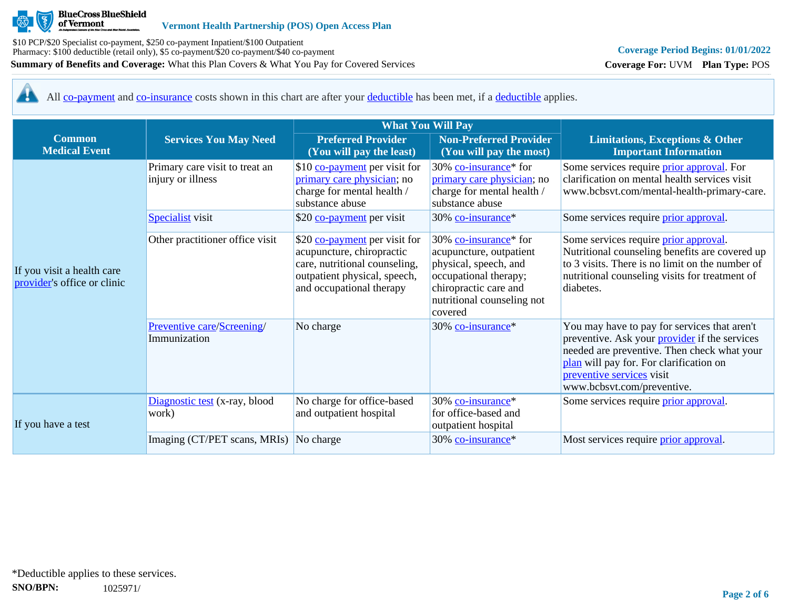

# **Coverage Period Begins: 01/01/2022**

**Coverage For:** UVM **Plan Type:** POS

<u>АЬ</u> All [co-payment](https://www.healthcare.gov/sbc-glossary/#copayment) and [co-insurance](https://www.healthcare.gov/sbc-glossary/#coinsurance) costs shown in this chart are after your [deductible](https://www.healthcare.gov/sbc-glossary/#deductible) has been met, if a [deductible](https://www.healthcare.gov/sbc-glossary/#deductible) applies.

|                                                           |                                                     | <b>What You Will Pay</b>                                                                                                                                |                                                                                                                                                                                  |                                                                                                                                                                                                                                                           |  |
|-----------------------------------------------------------|-----------------------------------------------------|---------------------------------------------------------------------------------------------------------------------------------------------------------|----------------------------------------------------------------------------------------------------------------------------------------------------------------------------------|-----------------------------------------------------------------------------------------------------------------------------------------------------------------------------------------------------------------------------------------------------------|--|
| <b>Common</b><br><b>Medical Event</b>                     | <b>Services You May Need</b>                        | <b>Preferred Provider</b><br>(You will pay the least)                                                                                                   | <b>Non-Preferred Provider</b><br>(You will pay the most)                                                                                                                         | <b>Limitations, Exceptions &amp; Other</b><br><b>Important Information</b>                                                                                                                                                                                |  |
|                                                           | Primary care visit to treat an<br>injury or illness | \$10 co-payment per visit for<br>primary care physician; no<br>charge for mental health /<br>substance abuse                                            | 30% co-insurance* for<br>primary care physician; no<br>charge for mental health /<br>substance abuse                                                                             | Some services require <i>prior approval</i> . For<br>clarification on mental health services visit<br>www.bcbsvt.com/mental-health-primary-care.                                                                                                          |  |
|                                                           | <b>Specialist</b> visit                             | \$20 co-payment per visit                                                                                                                               | 30% co-insurance*                                                                                                                                                                | Some services require <i>prior approval</i> .                                                                                                                                                                                                             |  |
| If you visit a health care<br>provider's office or clinic | Other practitioner office visit                     | \$20 co-payment per visit for<br>acupuncture, chiropractic<br>care, nutritional counseling,<br>outpatient physical, speech,<br>and occupational therapy | 30% co-insurance <sup>*</sup> for<br>acupuncture, outpatient<br>physical, speech, and<br>occupational therapy;<br>chiropractic care and<br>nutritional counseling not<br>covered | Some services require <i>prior approval</i> .<br>Nutritional counseling benefits are covered up<br>to 3 visits. There is no limit on the number of<br>nutritional counseling visits for treatment of<br>diabetes.                                         |  |
|                                                           | Preventive care/Screening/<br>Immunization          | No charge                                                                                                                                               | 30% co-insurance*                                                                                                                                                                | You may have to pay for services that aren't<br>preventive. Ask your <i>provider</i> if the services<br>needed are preventive. Then check what your<br>plan will pay for. For clarification on<br>preventive services visit<br>www.bcbsvt.com/preventive. |  |
| If you have a test                                        | Diagnostic test (x-ray, blood<br>work)              | No charge for office-based<br>and outpatient hospital                                                                                                   | 30% co-insurance*<br>for office-based and<br>outpatient hospital                                                                                                                 | Some services require <i>prior approval</i> .                                                                                                                                                                                                             |  |
|                                                           | Imaging (CT/PET scans, MRIs) No charge              |                                                                                                                                                         | 30% co-insurance*                                                                                                                                                                | Most services require <i>prior approval</i> .                                                                                                                                                                                                             |  |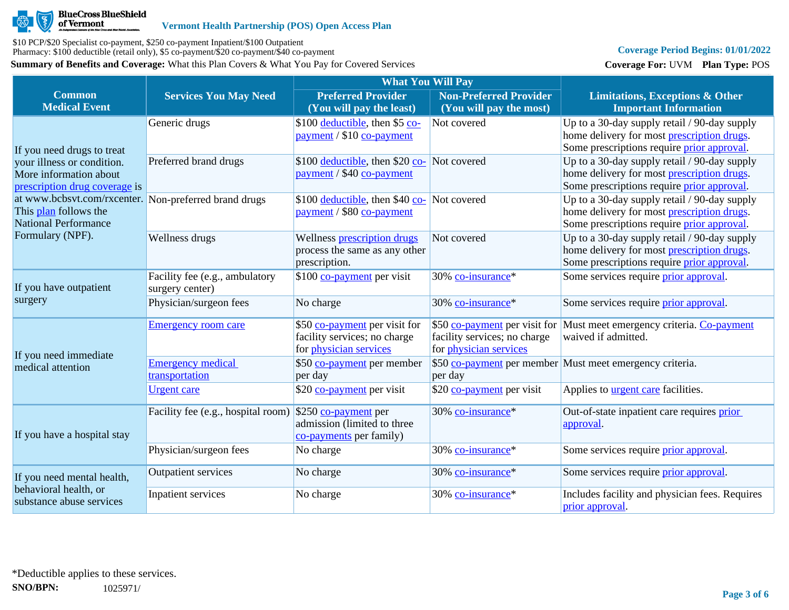

## **Coverage Period Begins: 01/01/2022**

**Coverage For:** UVM **Plan Type:** POS

|                                                                                                               |                                                   | <b>What You Will Pay</b>                                                                       |                                                               |                                                                                                                                          |
|---------------------------------------------------------------------------------------------------------------|---------------------------------------------------|------------------------------------------------------------------------------------------------|---------------------------------------------------------------|------------------------------------------------------------------------------------------------------------------------------------------|
| <b>Common</b><br><b>Medical Event</b>                                                                         | <b>Services You May Need</b>                      | <b>Preferred Provider</b><br>(You will pay the least)                                          | <b>Non-Preferred Provider</b><br>(You will pay the most)      | <b>Limitations, Exceptions &amp; Other</b><br><b>Important Information</b>                                                               |
| If you need drugs to treat                                                                                    | Generic drugs                                     | \$100 deductible, then \$5 co-<br>payment / \$10 co-payment                                    | Not covered                                                   | Up to a 30-day supply retail / 90-day supply<br>home delivery for most prescription drugs.<br>Some prescriptions require prior approval. |
| your illness or condition.<br>More information about<br>prescription drug coverage is                         | Preferred brand drugs                             | \$100 deductible, then \$20 co- Not covered<br>payment / \$40 co-payment                       |                                                               | Up to a 30-day supply retail / 90-day supply<br>home delivery for most prescription drugs.<br>Some prescriptions require prior approval. |
| at www.bcbsvt.com/rxcenter. Non-preferred brand drugs<br>This plan follows the<br><b>National Performance</b> |                                                   | \$100 <u>deductible</u> , then \$40 co- Not covered<br>payment / \$80 co-payment               |                                                               | Up to a 30-day supply retail / 90-day supply<br>home delivery for most prescription drugs.<br>Some prescriptions require prior approval. |
| Formulary (NPF).                                                                                              | Wellness drugs                                    | Wellness prescription drugs<br>process the same as any other<br>prescription.                  | Not covered                                                   | Up to a 30-day supply retail / 90-day supply<br>home delivery for most prescription drugs.<br>Some prescriptions require prior approval. |
| If you have outpatient<br>surgery                                                                             | Facility fee (e.g., ambulatory<br>surgery center) | \$100 co-payment per visit                                                                     | 30% co-insurance*                                             | Some services require prior approval.                                                                                                    |
|                                                                                                               | Physician/surgeon fees                            | No charge                                                                                      | 30% co-insurance*                                             | Some services require <i>prior</i> approval.                                                                                             |
| If you need immediate                                                                                         | <b>Emergency room care</b>                        | \$50 co-payment per visit for<br>facility services; no charge<br>for <i>physician</i> services | facility services; no charge<br>for <i>physician</i> services | \$50 co-payment per visit for Must meet emergency criteria. Co-payment<br>waived if admitted.                                            |
| medical attention                                                                                             | <b>Emergency medical</b><br>transportation        | \$50 co-payment per member<br>per day                                                          | per day                                                       | \$50 co-payment per member Must meet emergency criteria.                                                                                 |
|                                                                                                               | <b>Urgent care</b>                                | \$20 co-payment per visit                                                                      | \$20 co-payment per visit                                     | Applies to <b>urgent care</b> facilities.                                                                                                |
| If you have a hospital stay                                                                                   | Facility fee (e.g., hospital room)                | $$250$ co-payment per<br>admission (limited to three<br>co-payments per family)                | 30% co-insurance*                                             | Out-of-state inpatient care requires prior<br>approval.                                                                                  |
|                                                                                                               | Physician/surgeon fees                            | No charge                                                                                      | 30% co-insurance*                                             | Some services require prior approval.                                                                                                    |
| If you need mental health,<br>behavioral health, or<br>substance abuse services                               | <b>Outpatient services</b>                        | No charge                                                                                      | 30% co-insurance*                                             | Some services require <i>prior</i> approval.                                                                                             |
|                                                                                                               | Inpatient services                                | No charge                                                                                      | 30% co-insurance*                                             | Includes facility and physician fees. Requires<br>prior approval.                                                                        |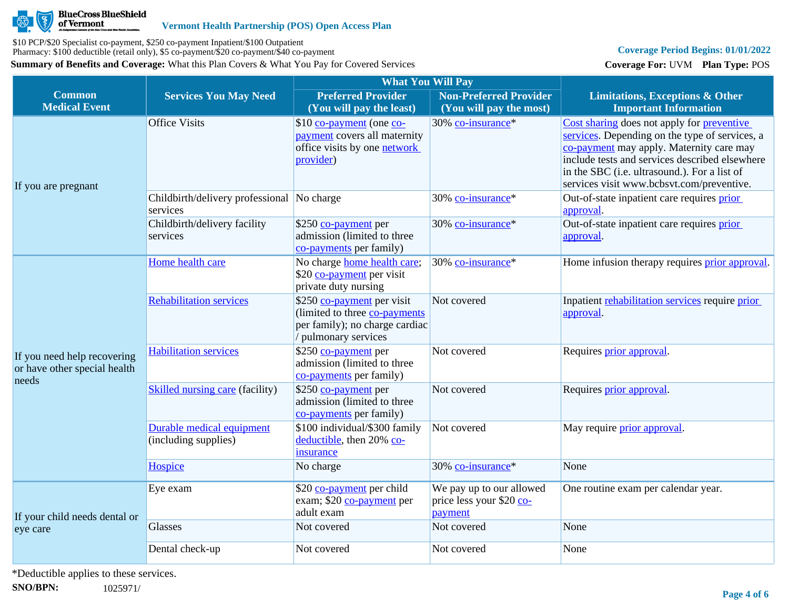

### **Coverage Period Begins: 01/01/2022**

**Coverage For:** UVM **Plan Type:** POS

|                                                                      |                                                        | <b>What You Will Pay</b>                                                                                             |                                                                 |                                                                                                                                                                                                                                                                                         |
|----------------------------------------------------------------------|--------------------------------------------------------|----------------------------------------------------------------------------------------------------------------------|-----------------------------------------------------------------|-----------------------------------------------------------------------------------------------------------------------------------------------------------------------------------------------------------------------------------------------------------------------------------------|
| <b>Common</b><br><b>Medical Event</b>                                | <b>Services You May Need</b>                           | <b>Preferred Provider</b><br>(You will pay the least)                                                                | <b>Non-Preferred Provider</b><br>(You will pay the most)        | <b>Limitations, Exceptions &amp; Other</b><br><b>Important Information</b>                                                                                                                                                                                                              |
| If you are pregnant                                                  | <b>Office Visits</b>                                   | \$10 co-payment (one co-<br>payment covers all maternity<br>office visits by one <b>network</b><br>provider)         | 30% co-insurance*                                               | Cost sharing does not apply for preventive<br>services. Depending on the type of services, a<br>co-payment may apply. Maternity care may<br>include tests and services described elsewhere<br>in the SBC (i.e. ultrasound.). For a list of<br>services visit www.bcbsvt.com/preventive. |
|                                                                      | Childbirth/delivery professional No charge<br>services |                                                                                                                      | 30% co-insurance*                                               | Out-of-state inpatient care requires prior<br>approval.                                                                                                                                                                                                                                 |
|                                                                      | Childbirth/delivery facility<br>services               | \$250 co-payment per<br>admission (limited to three<br>co-payments per family)                                       | 30% co-insurance*                                               | Out-of-state inpatient care requires prior<br>approval.                                                                                                                                                                                                                                 |
|                                                                      | Home health care                                       | No charge home health care;<br>\$20 co-payment per visit<br>private duty nursing                                     | 30% co-insurance*                                               | Home infusion therapy requires <b>prior approval</b> .                                                                                                                                                                                                                                  |
| If you need help recovering<br>or have other special health<br>needs | <b>Rehabilitation services</b>                         | \$250 co-payment per visit<br>(limited to three co-payments)<br>per family); no charge cardiac<br>pulmonary services | Not covered                                                     | Inpatient rehabilitation services require prior<br>approval.                                                                                                                                                                                                                            |
|                                                                      | <b>Habilitation services</b>                           | \$250 co-payment per<br>admission (limited to three<br>co-payments per family)                                       | Not covered                                                     | Requires prior approval.                                                                                                                                                                                                                                                                |
|                                                                      | <b>Skilled nursing care (facility)</b>                 | \$250 co-payment per<br>admission (limited to three<br>co-payments per family)                                       | Not covered                                                     | Requires prior approval.                                                                                                                                                                                                                                                                |
|                                                                      | Durable medical equipment<br>(including supplies)      | \$100 individual/\$300 family<br>deductible, then 20% co-<br>insurance                                               | Not covered                                                     | May require <i>prior</i> approval.                                                                                                                                                                                                                                                      |
|                                                                      | Hospice                                                | No charge                                                                                                            | 30% co-insurance*                                               | None                                                                                                                                                                                                                                                                                    |
| If your child needs dental or                                        | Eye exam                                               | \$20 co-payment per child<br>exam; \$20 co-payment per<br>adult exam                                                 | We pay up to our allowed<br>price less your \$20 co-<br>payment | One routine exam per calendar year.                                                                                                                                                                                                                                                     |
| eye care                                                             | Glasses                                                | Not covered                                                                                                          | Not covered                                                     | None                                                                                                                                                                                                                                                                                    |
|                                                                      | Dental check-up                                        | Not covered                                                                                                          | Not covered                                                     | None                                                                                                                                                                                                                                                                                    |

\*Deductible applies to these services.

**SNO/BPN:** 1025971/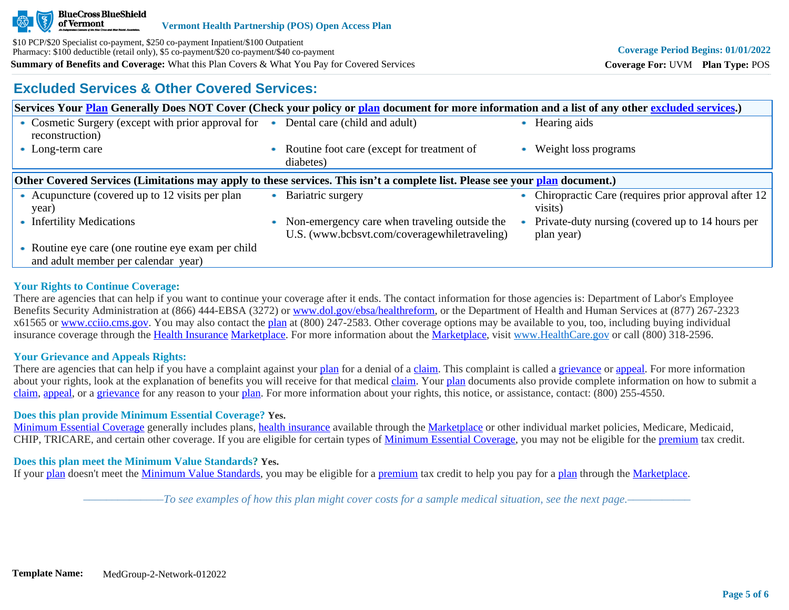

## **Excluded Services & Other Covered Services:**

| Services Your <b>Plan</b> Generally Does NOT Cover (Check your policy or plan document for more information and a list of any other excluded services.) |           |                                                                                               |  |                                                                |  |
|---------------------------------------------------------------------------------------------------------------------------------------------------------|-----------|-----------------------------------------------------------------------------------------------|--|----------------------------------------------------------------|--|
| • Cosmetic Surgery (except with prior approval for<br>reconstruction)                                                                                   |           | Dental care (child and adult)                                                                 |  | Hearing aids                                                   |  |
| • Long-term care                                                                                                                                        | $\bullet$ | Routine foot care (except for treatment of<br>diabetes)                                       |  | Weight loss programs                                           |  |
| Other Covered Services (Limitations may apply to these services. This isn't a complete list. Please see your plan document.)                            |           |                                                                                               |  |                                                                |  |
| • Acupuncture (covered up to 12 visits per plan)<br>year)                                                                                               |           | Bariatric surgery                                                                             |  | Chiropractic Care (requires prior approval after 12<br>visits) |  |
| • Infertility Medications                                                                                                                               |           | Non-emergency care when traveling outside the<br>U.S. (www.bcbsvt.com/coveragewhiletraveling) |  | Private-duty nursing (covered up to 14 hours per<br>plan year) |  |
| • Routine eye care (one routine eye exam per child<br>and adult member per calendar year)                                                               |           |                                                                                               |  |                                                                |  |

### **Your Rights to Continue Coverage:**

There are agencies that can help if you want to continue your coverage after it ends. The contact information for those agencies is: Department of Labor's Employee Benefits Security Administration at (866) 444-EBSA (3272) or [www.dol.gov/ebsa/healthreform](http://www.dol.gov/ebsa/healthreform), or the Department of Health and Human Services at (877) 267-2323 x61565 or [www.cciio.cms.gov](http://www.cciio.cms.gov/). You may also contact the [plan](https://www.healthcare.gov/sbc-glossary/#plan) at (800) 247-2583. Other coverage options may be available to you, too, including buying individual insurance coverage through the [Health Insurance](https://www.healthcare.gov/sbc-glossary/#health-insurance) [Marketplace.](https://www.healthcare.gov/sbc-glossary/#marketplace) For more information about the [Marketplace,](https://www.healthcare.gov/sbc-glossary/#marketplace) visit [www.HealthCare.gov](http://www.healthcare.gov/) or call (800) 318-2596.

## **Your Grievance and Appeals Rights:**

There are agencies that can help if you have a complaint against your [plan](https://www.healthcare.gov/sbc-glossary/#plan) for a denial of a [claim.](https://www.healthcare.gov/sbc-glossary/#claim) This complaint is called a [grievance](https://www.healthcare.gov/sbc-glossary/#grievance) or [appeal](https://www.healthcare.gov/sbc-glossary/#appeal). For more information about your rights, look at the explanation of benefits you will receive for that medical [claim](https://www.healthcare.gov/sbc-glossary/#claim). Your [plan](https://www.healthcare.gov/sbc-glossary/#plan) documents also provide complete information on how to submit a [claim](https://www.healthcare.gov/sbc-glossary/#claim), [appeal](https://www.healthcare.gov/sbc-glossary/#appeal), or a [grievance](https://www.healthcare.gov/sbc-glossary/#grievance) for any reason to your [plan.](https://www.healthcare.gov/sbc-glossary/#plan) For more information about your rights, this notice, or assistance, contact: (800) 255-4550.

### **Does this plan provide Minimum Essential Coverage? Yes.**

[Minimum Essential Coverage](https://www.healthcare.gov/sbc-glossary/#minimum-essential-coverage) generally includes plans, [health insurance](https://www.healthcare.gov/sbc-glossary/#health-insurance) available through the [Marketplace](https://www.healthcare.gov/sbc-glossary/#marketplace) or other individual market policies, Medicare, Medicaid, CHIP. TRICARE, and certain other coverage. If you are eligible for certain types of [Minimum Essential Coverage](https://www.healthcare.gov/sbc-glossary/#minimum-essential-coverage), you may not be eligible for the [premium](https://www.healthcare.gov/sbc-glossary/#premium) tax credit.

### **Does this plan meet the Minimum Value Standards? Yes.**

If your [plan](https://www.healthcare.gov/sbc-glossary/#plan) doesn't meet the [Minimum Value Standards](https://www.healthcare.gov/sbc-glossary/#minimum-value-standard), you may be eligible for a [premium](https://www.healthcare.gov/sbc-glossary/#premium) tax credit to help you pay for a [plan](https://www.healthcare.gov/sbc-glossary/#plan) through the [Marketplace](https://www.healthcare.gov/sbc-glossary/#marketplace).

*––––––––––––––To see examples of how this plan might cover costs for a sample medical situation, see the next page.–––––––––––*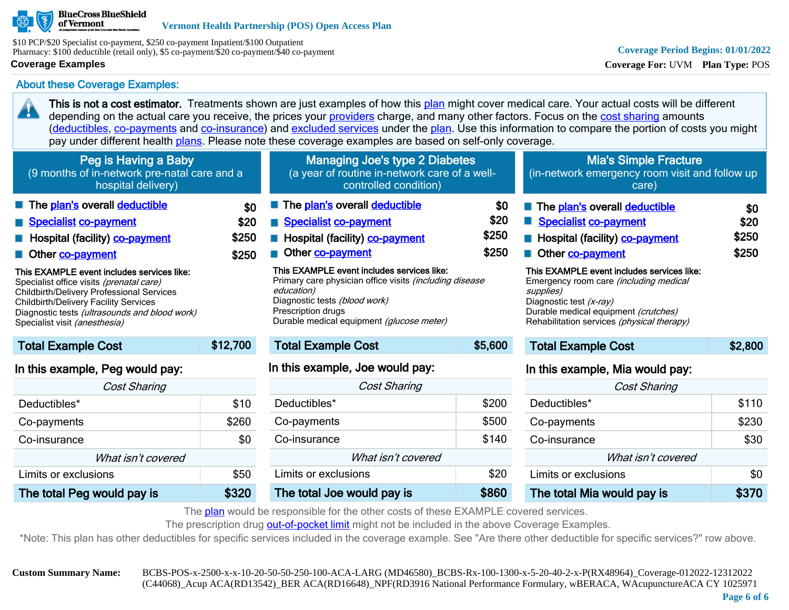

\$10 PCP/\$20 Specialist co-payment, \$250 co-payment Inpatient/\$100 Outpatient Pharmacy: \$100 deductible (retail only), \$5 co-payment/\$20 co-payment/\$40 co-payment

#### **Coverage Examples**

20

### About these Coverage Examples:

This is not a cost estimator. Treatments shown are just examples of how this [plan](https://www.healthcare.gov/sbc-glossary/#plan) might cover medical care. Your actual costs will be different depending on the actual care you receive, the prices your [providers](https://www.healthcare.gov/sbc-glossary/#provider) charge, and many other factors. Focus on the [cost sharing](https://www.healthcare.gov/sbc-glossary/#cost-sharing) amounts ([deductibles,](https://www.healthcare.gov/sbc-glossary/#deductible) [co-payments](https://www.healthcare.gov/sbc-glossary/#co-payment) and [co-insurance\)](https://www.healthcare.gov/sbc-glossary/#co-insurance) and [excluded services](https://www.healthcare.gov/sbc-glossary/#excluded-services) under the [plan](https://www.healthcare.gov/sbc-glossary/#plan). Use this information to compare the portion of costs you might pay under different health [plans.](https://www.healthcare.gov/sbc-glossary/#plan) Please note these coverage examples are based on self-only coverage.

| Peg is Having a Baby                             |          | Managing Joe's type 2 Diabetes                                 |         | <b>Mia's Simple Fracture</b>                   |         |
|--------------------------------------------------|----------|----------------------------------------------------------------|---------|------------------------------------------------|---------|
| (9 months of in-network pre-natal care and a     |          | (a year of routine in-network care of a well-                  |         | (in-network emergency room visit and follow up |         |
| hospital delivery)                               |          | controlled condition)                                          |         | care)                                          |         |
| The plan's overall deductible                    | \$0      | The plan's overall deductible                                  | \$0     | The plan's overall deductible                  | \$0     |
| Specialist co-payment                            | \$20     | Specialist co-payment                                          | \$20    | Specialist co-payment                          | \$20    |
| <b>E</b> Hospital (facility) <b>co-payment</b>   | \$250    | Hospital (facility) <b>co-payment</b>                          | \$250   | <b>E</b> Hospital (facility) <b>co-payment</b> | \$250   |
| Other co-payment                                 | \$250    | Other co-payment                                               | \$250   | Other co-payment                               | \$250   |
| This EXAMPLE event includes services like:       |          | This EXAMPLE event includes services like:                     |         | This EXAMPLE event includes services like:     |         |
| Specialist office visits (prenatal care)         |          | Primary care physician office visits <i>(including disease</i> |         | Emergency room care (including medical         |         |
| <b>Childbirth/Delivery Professional Services</b> |          | education)                                                     |         | supplies)                                      |         |
| <b>Childbirth/Delivery Facility Services</b>     |          | Diagnostic tests (blood work)                                  |         | Diagnostic test (x-ray)                        |         |
| Diagnostic tests (ultrasounds and blood work)    |          | Prescription drugs                                             |         | Durable medical equipment (crutches)           |         |
| Specialist visit (anesthesia)                    |          | Durable medical equipment (glucose meter)                      |         | Rehabilitation services (physical therapy)     |         |
| <b>Total Example Cost</b>                        | \$12,700 | <b>Total Example Cost</b>                                      | \$5,600 | <b>Total Example Cost</b>                      | \$2,800 |

## In this example, Peg would pay:

| <b>Cost Sharing</b>        |       |  |  |  |
|----------------------------|-------|--|--|--|
| Deductibles*               | \$10  |  |  |  |
| Co-payments                | \$260 |  |  |  |
| Co-insurance               | \$0   |  |  |  |
| What isn't covered         |       |  |  |  |
| Limits or exclusions       | \$50  |  |  |  |
| The total Peg would pay is |       |  |  |  |

## In this example, Joe would pay:

| <b>Cost Sharing</b>        |       |  |  |  |
|----------------------------|-------|--|--|--|
| Deductibles*               | \$200 |  |  |  |
| Co-payments                | \$500 |  |  |  |
| Co-insurance               | \$140 |  |  |  |
| What isn't covered         |       |  |  |  |
| Limits or exclusions       | \$20  |  |  |  |
| The total Joe would pay is | \$860 |  |  |  |

## In this example, Mia would pay:

| <b>Cost Sharing</b>        |       |  |
|----------------------------|-------|--|
| Deductibles*               | \$110 |  |
| Co-payments                | \$230 |  |
| Co-insurance               | \$30  |  |
| What isn't covered         |       |  |
| Limits or exclusions       | \$0   |  |
| The total Mia would pay is |       |  |

The [plan](https://www.healthcare.gov/sbc-glossary/#plan) would be responsible for the other costs of these EXAMPLE covered services.

The prescription drug [out-of-pocket limit](https://www.healthcare.gov/sbc-glossary/#out-of-pocket-limit) might not be included in the above Coverage Examples.

\*Note: This plan has other deductibles for specific services included in the coverage example. See "Are there other deductible for specific services?" row above.

**Custom Summary Name:** BCBS-POS-x-2500-x-x-10-20-50-50-250-100-ACA-LARG (MD46580)\_BCBS-Rx-100-1300-x-5-20-40-2-x-P(RX48964)\_Coverage-012022-12312022 (C44068)\_Acup ACA(RD13542)\_BER ACA(RD16648)\_NPF(RD3916 National Performance Formulary, wBERACA, WAcupunctureACA CY 1025971